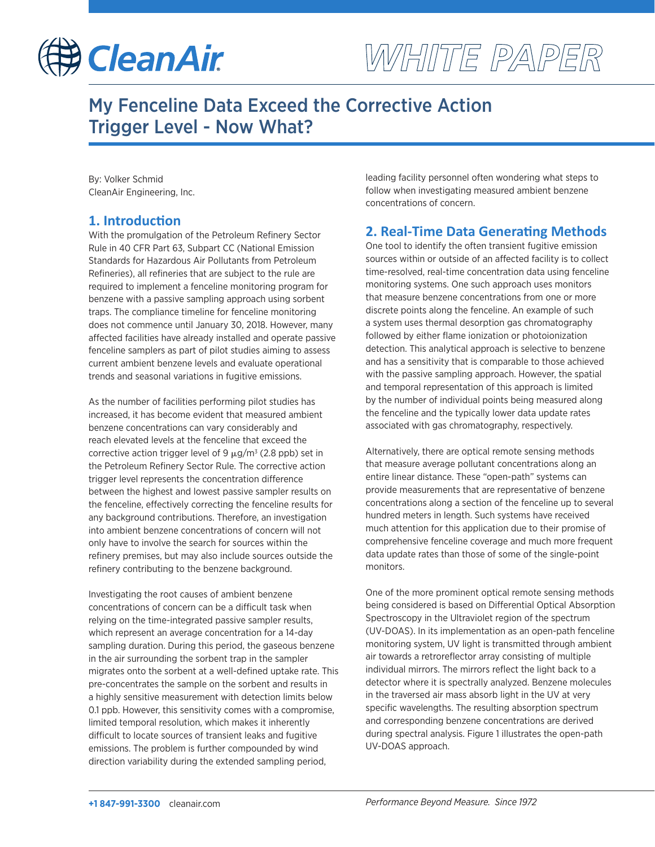

# WHITE PAPER

# My Fenceline Data Exceed the Corrective Action Trigger Level - Now What?

By: Volker Schmid CleanAir Engineering, Inc.

#### **1. Introduction**

With the promulgation of the Petroleum Refinery Sector Rule in 40 CFR Part 63, Subpart CC (National Emission Standards for Hazardous Air Pollutants from Petroleum Refineries), all refineries that are subject to the rule are required to implement a fenceline monitoring program for benzene with a passive sampling approach using sorbent traps. The compliance timeline for fenceline monitoring does not commence until January 30, 2018. However, many affected facilities have already installed and operate passive fenceline samplers as part of pilot studies aiming to assess current ambient benzene levels and evaluate operational trends and seasonal variations in fugitive emissions.

As the number of facilities performing pilot studies has increased, it has become evident that measured ambient benzene concentrations can vary considerably and reach elevated levels at the fenceline that exceed the corrective action trigger level of 9  $\mu$ g/m<sup>3</sup> (2.8 ppb) set in the Petroleum Refinery Sector Rule. The corrective action trigger level represents the concentration difference between the highest and lowest passive sampler results on the fenceline, effectively correcting the fenceline results for any background contributions. Therefore, an investigation into ambient benzene concentrations of concern will not only have to involve the search for sources within the refinery premises, but may also include sources outside the refinery contributing to the benzene background.

Investigating the root causes of ambient benzene concentrations of concern can be a difficult task when relying on the time-integrated passive sampler results, which represent an average concentration for a 14-day sampling duration. During this period, the gaseous benzene in the air surrounding the sorbent trap in the sampler migrates onto the sorbent at a well-defined uptake rate. This pre-concentrates the sample on the sorbent and results in a highly sensitive measurement with detection limits below 0.1 ppb. However, this sensitivity comes with a compromise, limited temporal resolution, which makes it inherently difficult to locate sources of transient leaks and fugitive emissions. The problem is further compounded by wind direction variability during the extended sampling period,

leading facility personnel often wondering what steps to follow when investigating measured ambient benzene concentrations of concern.

## **2. Real-Time Data Generating Methods**

One tool to identify the often transient fugitive emission sources within or outside of an affected facility is to collect time-resolved, real-time concentration data using fenceline monitoring systems. One such approach uses monitors that measure benzene concentrations from one or more discrete points along the fenceline. An example of such a system uses thermal desorption gas chromatography followed by either flame ionization or photoionization detection. This analytical approach is selective to benzene and has a sensitivity that is comparable to those achieved with the passive sampling approach. However, the spatial and temporal representation of this approach is limited by the number of individual points being measured along the fenceline and the typically lower data update rates associated with gas chromatography, respectively.

Alternatively, there are optical remote sensing methods that measure average pollutant concentrations along an entire linear distance. These "open-path" systems can provide measurements that are representative of benzene concentrations along a section of the fenceline up to several hundred meters in length. Such systems have received much attention for this application due to their promise of comprehensive fenceline coverage and much more frequent data update rates than those of some of the single-point monitors.

One of the more prominent optical remote sensing methods being considered is based on Differential Optical Absorption Spectroscopy in the Ultraviolet region of the spectrum (UV-DOAS). In its implementation as an open-path fenceline monitoring system, UV light is transmitted through ambient air towards a retroreflector array consisting of multiple individual mirrors. The mirrors reflect the light back to a detector where it is spectrally analyzed. Benzene molecules in the traversed air mass absorb light in the UV at very specific wavelengths. The resulting absorption spectrum and corresponding benzene concentrations are derived during spectral analysis. Figure 1 illustrates the open-path UV-DOAS approach.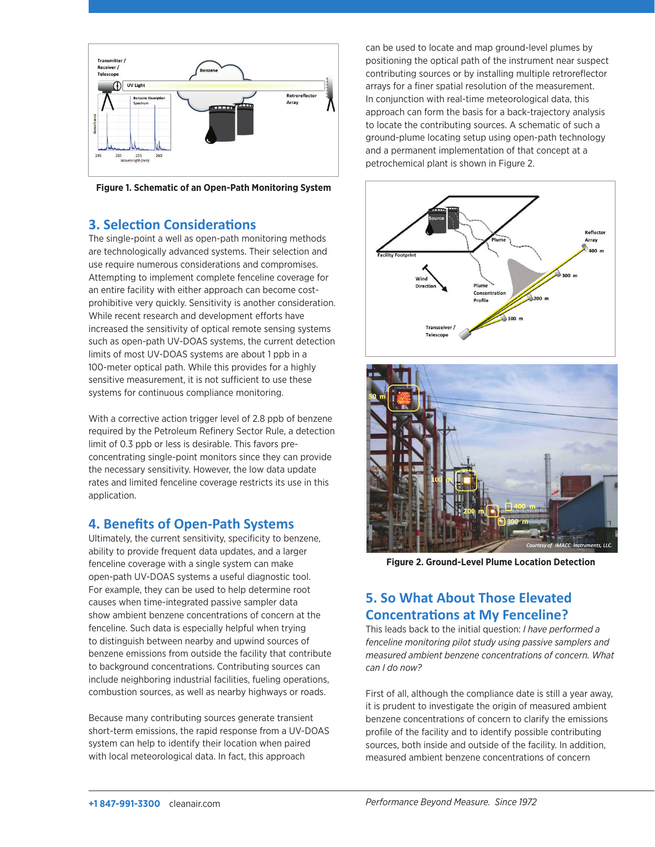

**Figure 1. Schematic of an Open-Path Monitoring System**

#### **3. Selection Considerations**

The single-point a well as open-path monitoring methods are technologically advanced systems. Their selection and use require numerous considerations and compromises. Attempting to implement complete fenceline coverage for an entire facility with either approach can become costprohibitive very quickly. Sensitivity is another consideration. While recent research and development efforts have increased the sensitivity of optical remote sensing systems such as open-path UV-DOAS systems, the current detection limits of most UV-DOAS systems are about 1 ppb in a 100-meter optical path. While this provides for a highly sensitive measurement, it is not sufficient to use these systems for continuous compliance monitoring.

With a corrective action trigger level of 2.8 ppb of benzene required by the Petroleum Refinery Sector Rule, a detection limit of 0.3 ppb or less is desirable. This favors preconcentrating single-point monitors since they can provide the necessary sensitivity. However, the low data update rates and limited fenceline coverage restricts its use in this application.

## **4. Benefits of Open-Path Systems**

Ultimately, the current sensitivity, specificity to benzene, ability to provide frequent data updates, and a larger fenceline coverage with a single system can make open-path UV-DOAS systems a useful diagnostic tool. For example, they can be used to help determine root causes when time-integrated passive sampler data show ambient benzene concentrations of concern at the fenceline. Such data is especially helpful when trying to distinguish between nearby and upwind sources of benzene emissions from outside the facility that contribute to background concentrations. Contributing sources can include neighboring industrial facilities, fueling operations, combustion sources, as well as nearby highways or roads.

Because many contributing sources generate transient short-term emissions, the rapid response from a UV-DOAS system can help to identify their location when paired with local meteorological data. In fact, this approach

can be used to locate and map ground-level plumes by positioning the optical path of the instrument near suspect contributing sources or by installing multiple retroreflector arrays for a finer spatial resolution of the measurement. In conjunction with real-time meteorological data, this approach can form the basis for a back-trajectory analysis to locate the contributing sources. A schematic of such a ground-plume locating setup using open-path technology and a permanent implementation of that concept at a petrochemical plant is shown in Figure 2.





**Figure 2. Ground-Level Plume Location Detection**

# **5. So What About Those Elevated Concentrations at My Fenceline?**

This leads back to the initial question: *I have performed a fenceline monitoring pilot study using passive samplers and measured ambient benzene concentrations of concern. What can I do now?* 

First of all, although the compliance date is still a year away, it is prudent to investigate the origin of measured ambient benzene concentrations of concern to clarify the emissions profile of the facility and to identify possible contributing sources, both inside and outside of the facility. In addition, measured ambient benzene concentrations of concern